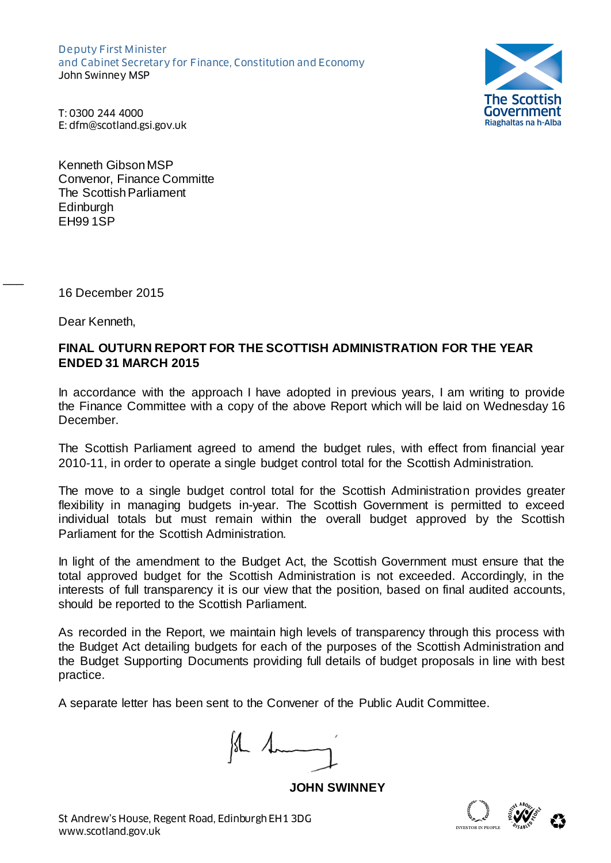Deputy First Minister and Cabinet Secretary for Finance, Constitution and Economy John Swinney MSP Deputy First Minister<br>and Cabinet Secretary for Finance, Constitution and Economy<br>John Swinney MSP<br>T: 0300 244 4000<br>E: dfm@scotland.gsi.gov.uk



T: 0300 244 4000

Kenneth Gibson MSP Convenor, Finance Committe The Scottish Parliament **Edinburgh** EH99 1SP

16 December 2015

Dear Kenneth,

 $\overline{\phantom{a}}$ 

### **FINAL OUTURN REPORT FOR THE SCOTTISH ADMINISTRATION FOR THE YEAR ENDED 31 MARCH 2015**

In accordance with the approach I have adopted in previous years, I am writing to provide the Finance Committee with a copy of the above Report which will be laid on Wednesday 16 December.

The Scottish Parliament agreed to amend the budget rules, with effect from financial year 2010-11, in order to operate a single budget control total for the Scottish Administration.

The move to a single budget control total for the Scottish Administration provides greater flexibility in managing budgets in-year. The Scottish Government is permitted to exceed individual totals but must remain within the overall budget approved by the Scottish Parliament for the Scottish Administration.

In light of the amendment to the Budget Act, the Scottish Government must ensure that the total approved budget for the Scottish Administration is not exceeded. Accordingly, in the interests of full transparency it is our view that the position, based on final audited accounts, should be reported to the Scottish Parliament.

As recorded in the Report, we maintain high levels of transparency through this process with the Budget Act detailing budgets for each of the purposes of the Scottish Administration and the Budget Supporting Documents providing full details of budget proposals in line with best practice.

A separate letter has been sent to the Convener of the Public Audit Committee.

 $\int$ 

**JOHN SWINNEY**

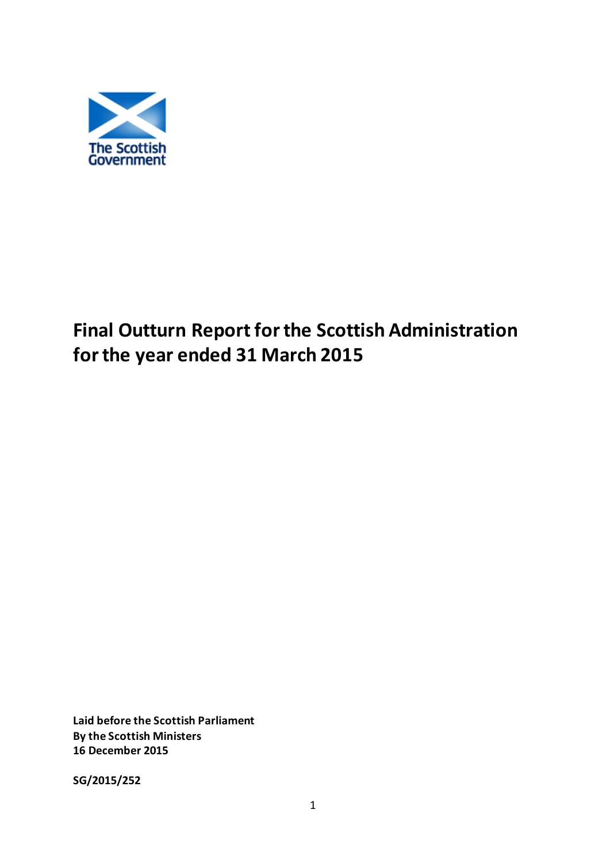

# **Final Outturn Report for the Scottish Administration for the year ended 31 March 2015**

**Laid before the Scottish Parliament By the Scottish Ministers 16 December 2015**

**SG/2015/252**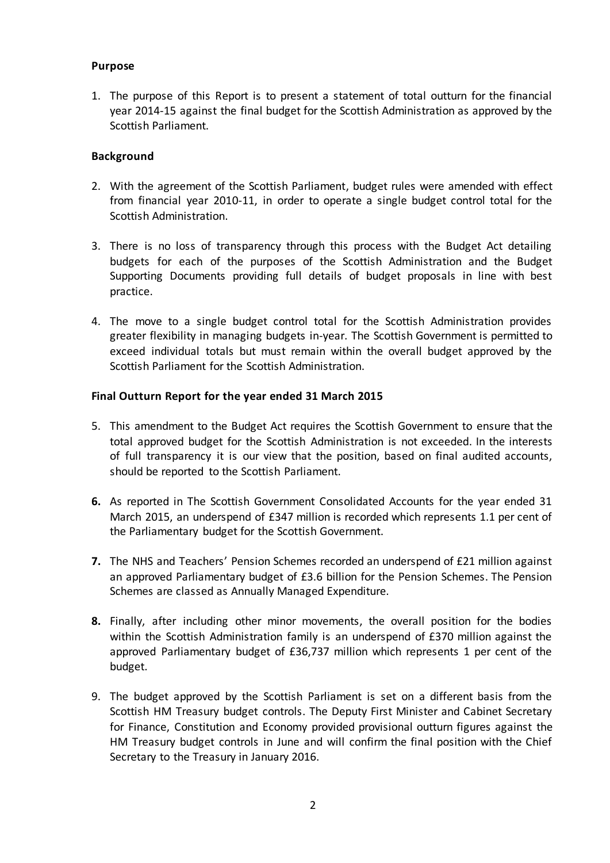#### **Purpose**

1. The purpose of this Report is to present a statement of total outturn for the financial year 2014-15 against the final budget for the Scottish Administration as approved by the Scottish Parliament.

#### **Background**

- 2. With the agreement of the Scottish Parliament, budget rules were amended with effect from financial year 2010-11, in order to operate a single budget control total for the Scottish Administration.
- 3. There is no loss of transparency through this process with the Budget Act detailing budgets for each of the purposes of the Scottish Administration and the Budget Supporting Documents providing full details of budget proposals in line with best practice.
- 4. The move to a single budget control total for the Scottish Administration provides greater flexibility in managing budgets in-year. The Scottish Government is permitted to exceed individual totals but must remain within the overall budget approved by the Scottish Parliament for the Scottish Administration.

#### **Final Outturn Report for the year ended 31 March 2015**

- 5. This amendment to the Budget Act requires the Scottish Government to ensure that the total approved budget for the Scottish Administration is not exceeded. In the interests of full transparency it is our view that the position, based on final audited accounts, should be reported to the Scottish Parliament.
- **6.** As reported in The Scottish Government Consolidated Accounts for the year ended 31 March 2015, an underspend of £347 million is recorded which represents 1.1 per cent of the Parliamentary budget for the Scottish Government.
- **7.** The NHS and Teachers' Pension Schemes recorded an underspend of £21 million against an approved Parliamentary budget of £3.6 billion for the Pension Schemes. The Pension Schemes are classed as Annually Managed Expenditure.
- **8.** Finally, after including other minor movements, the overall position for the bodies within the Scottish Administration family is an underspend of £370 million against the approved Parliamentary budget of £36,737 million which represents 1 per cent of the budget.
- 9. The budget approved by the Scottish Parliament is set on a different basis from the Scottish HM Treasury budget controls. The Deputy First Minister and Cabinet Secretary for Finance, Constitution and Economy provided provisional outturn figures against the HM Treasury budget controls in June and will confirm the final position with the Chief Secretary to the Treasury in January 2016.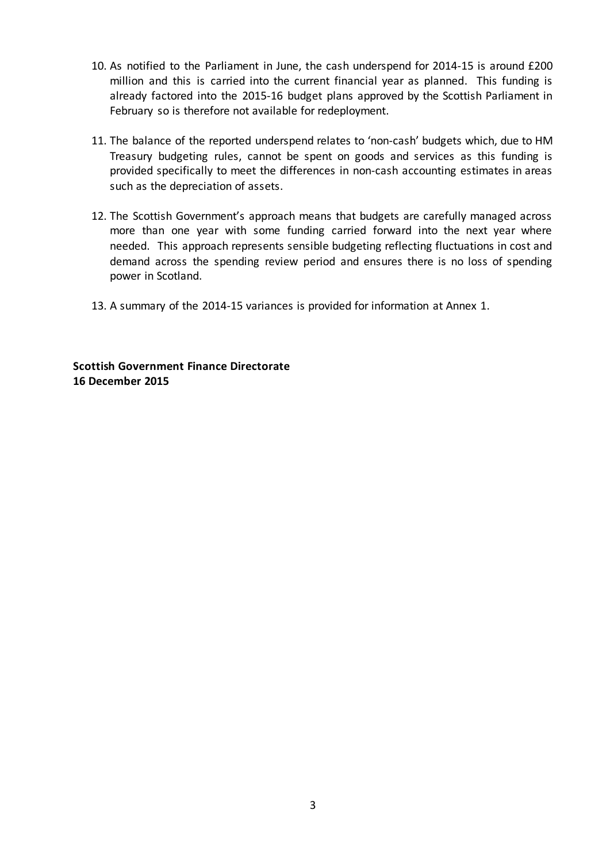- 10. As notified to the Parliament in June, the cash underspend for 2014-15 is around £200 million and this is carried into the current financial year as planned. This funding is already factored into the 2015-16 budget plans approved by the Scottish Parliament in February so is therefore not available for redeployment.
- 11. The balance of the reported underspend relates to 'non-cash' budgets which, due to HM Treasury budgeting rules, cannot be spent on goods and services as this funding is provided specifically to meet the differences in non-cash accounting estimates in areas such as the depreciation of assets.
- 12. The Scottish Government's approach means that budgets are carefully managed across more than one year with some funding carried forward into the next year where needed. This approach represents sensible budgeting reflecting fluctuations in cost and demand across the spending review period and ensures there is no loss of spending power in Scotland.
- 13. A summary of the 2014-15 variances is provided for information at Annex 1.

**Scottish Government Finance Directorate 16 December 2015**